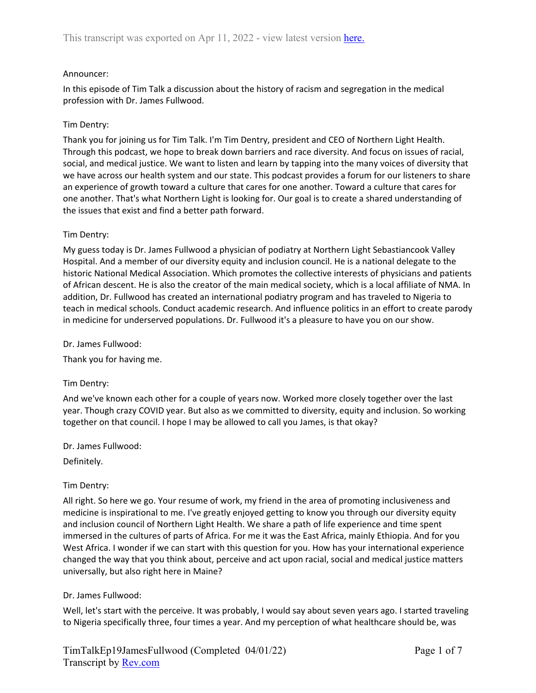## Announcer:

In this episode of Tim Talk a discussion about the history of racism and segregation in the medical profession with Dr. James Fullwood.

## Tim Dentry:

Thank you for joining us for Tim Talk. I'm Tim Dentry, president and CEO of Northern Light Health. Through this podcast, we hope to break down barriers and race diversity. And focus on issues of racial, social, and medical justice. We want to listen and learn by tapping into the many voices of diversity that we have across our health system and our state. This podcast provides a forum for our listeners to share an experience of growth toward a culture that cares for one another. Toward a culture that cares for one another. That's what Northern Light is looking for. Our goal is to create a shared understanding of the issues that exist and find a better path forward.

### Tim Dentry:

My guess today is Dr. James Fullwood a physician of podiatry at Northern Light Sebastiancook Valley Hospital. And a member of our diversity equity and inclusion council. He is a national delegate to the historic National Medical Association. Which promotes the collective interests of physicians and patients of African descent. He is also the creator of the main medical society, which is a local affiliate of NMA. In addition, Dr. Fullwood has created an international podiatry program and has traveled to Nigeria to teach in medical schools. Conduct academic research. And influence politics in an effort to create parody in medicine for underserved populations. Dr. Fullwood it's a pleasure to have you on our show.

Dr. James Fullwood:

Thank you for having me.

### Tim Dentry:

And we've known each other for a couple of years now. Worked more closely together over the last year. Though crazy COVID year. But also as we committed to diversity, equity and inclusion. So working together on that council. I hope I may be allowed to call you James, is that okay?

Dr. James Fullwood:

Definitely.

# Tim Dentry:

All right. So here we go. Your resume of work, my friend in the area of promoting inclusiveness and medicine is inspirational to me. I've greatly enjoyed getting to know you through our diversity equity and inclusion council of Northern Light Health. We share a path of life experience and time spent immersed in the cultures of parts of Africa. For me it was the East Africa, mainly Ethiopia. And for you West Africa. I wonder if we can start with this question for you. How has your international experience changed the way that you think about, perceive and act upon racial, social and medical justice matters universally, but also right here in Maine?

# Dr. James Fullwood:

Well, let's start with the perceive. It was probably, I would say about seven years ago. I started traveling to Nigeria specifically three, four times a year. And my perception of what healthcare should be, was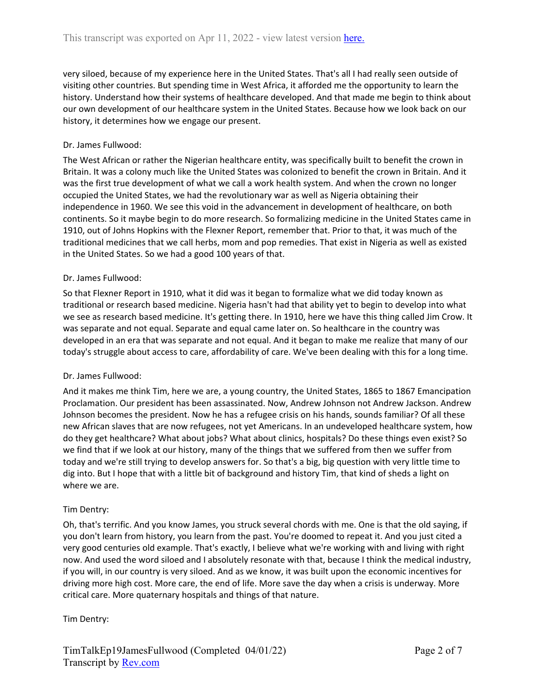very siloed, because of my experience here in the United States. That's all I had really seen outside of visiting other countries. But spending time in West Africa, it afforded me the opportunity to learn the history. Understand how their systems of healthcare developed. And that made me begin to think about our own development of our healthcare system in the United States. Because how we look back on our history, it determines how we engage our present.

# Dr. James Fullwood:

The West African or rather the Nigerian healthcare entity, was specifically built to benefit the crown in Britain. It was a colony much like the United States was colonized to benefit the crown in Britain. And it was the first true development of what we call a work health system. And when the crown no longer occupied the United States, we had the revolutionary war as well as Nigeria obtaining their independence in 1960. We see this void in the advancement in development of healthcare, on both continents. So it maybe begin to do more research. So formalizing medicine in the United States came in 1910, out of Johns Hopkins with the Flexner Report, remember that. Prior to that, it was much of the traditional medicines that we call herbs, mom and pop remedies. That exist in Nigeria as well as existed in the United States. So we had a good 100 years of that.

### Dr. James Fullwood:

So that Flexner Report in 1910, what it did was it began to formalize what we did today known as traditional or research based medicine. Nigeria hasn't had that ability yet to begin to develop into what we see as research based medicine. It's getting there. In 1910, here we have this thing called Jim Crow. It was separate and not equal. Separate and equal came later on. So healthcare in the country was developed in an era that was separate and not equal. And it began to make me realize that many of our today's struggle about access to care, affordability of care. We've been dealing with this for a long time.

### Dr. James Fullwood:

And it makes me think Tim, here we are, a young country, the United States, 1865 to 1867 Emancipation Proclamation. Our president has been assassinated. Now, Andrew Johnson not Andrew Jackson. Andrew Johnson becomes the president. Now he has a refugee crisis on his hands, sounds familiar? Of all these new African slaves that are now refugees, not yet Americans. In an undeveloped healthcare system, how do they get healthcare? What about jobs? What about clinics, hospitals? Do these things even exist? So we find that if we look at our history, many of the things that we suffered from then we suffer from today and we're still trying to develop answers for. So that's a big, big question with very little time to dig into. But I hope that with a little bit of background and history Tim, that kind of sheds a light on where we are.

### Tim Dentry:

Oh, that's terrific. And you know James, you struck several chords with me. One is that the old saying, if you don't learn from history, you learn from the past. You're doomed to repeat it. And you just cited a very good centuries old example. That's exactly, I believe what we're working with and living with right now. And used the word siloed and I absolutely resonate with that, because I think the medical industry, if you will, in our country is very siloed. And as we know, it was built upon the economic incentives for driving more high cost. More care, the end of life. More save the day when a crisis is underway. More critical care. More quaternary hospitals and things of that nature.

### Tim Dentry: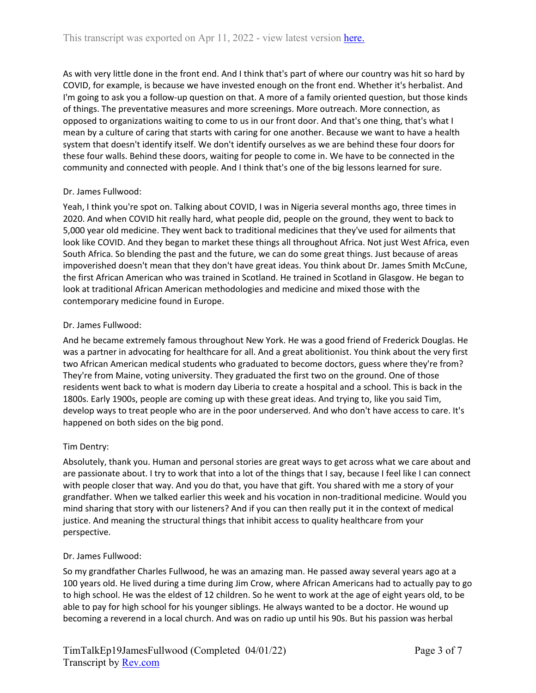As with very little done in the front end. And I think that's part of where our country was hit so hard by COVID, for example, is because we have invested enough on the front end. Whether it's herbalist. And I'm going to ask you a follow-up question on that. A more of a family oriented question, but those kinds of things. The preventative measures and more screenings. More outreach. More connection, as opposed to organizations waiting to come to us in our front door. And that's one thing, that's what I mean by a culture of caring that starts with caring for one another. Because we want to have a health system that doesn't identify itself. We don't identify ourselves as we are behind these four doors for these four walls. Behind these doors, waiting for people to come in. We have to be connected in the community and connected with people. And I think that's one of the big lessons learned for sure.

# Dr. James Fullwood:

Yeah, I think you're spot on. Talking about COVID, I was in Nigeria several months ago, three times in 2020. And when COVID hit really hard, what people did, people on the ground, they went to back to 5,000 year old medicine. They went back to traditional medicines that they've used for ailments that look like COVID. And they began to market these things all throughout Africa. Not just West Africa, even South Africa. So blending the past and the future, we can do some great things. Just because of areas impoverished doesn't mean that they don't have great ideas. You think about Dr. James Smith McCune, the first African American who was trained in Scotland. He trained in Scotland in Glasgow. He began to look at traditional African American methodologies and medicine and mixed those with the contemporary medicine found in Europe.

### Dr. James Fullwood:

And he became extremely famous throughout New York. He was a good friend of Frederick Douglas. He was a partner in advocating for healthcare for all. And a great abolitionist. You think about the very first two African American medical students who graduated to become doctors, guess where they're from? They're from Maine, voting university. They graduated the first two on the ground. One of those residents went back to what is modern day Liberia to create a hospital and a school. This is back in the 1800s. Early 1900s, people are coming up with these great ideas. And trying to, like you said Tim, develop ways to treat people who are in the poor underserved. And who don't have access to care. It's happened on both sides on the big pond.

# Tim Dentry:

Absolutely, thank you. Human and personal stories are great ways to get across what we care about and are passionate about. I try to work that into a lot of the things that I say, because I feel like I can connect with people closer that way. And you do that, you have that gift. You shared with me a story of your grandfather. When we talked earlier this week and his vocation in non-traditional medicine. Would you mind sharing that story with our listeners? And if you can then really put it in the context of medical justice. And meaning the structural things that inhibit access to quality healthcare from your perspective.

### Dr. James Fullwood:

So my grandfather Charles Fullwood, he was an amazing man. He passed away several years ago at a 100 years old. He lived during a time during Jim Crow, where African Americans had to actually pay to go to high school. He was the eldest of 12 children. So he went to work at the age of eight years old, to be able to pay for high school for his younger siblings. He always wanted to be a doctor. He wound up becoming a reverend in a local church. And was on radio up until his 90s. But his passion was herbal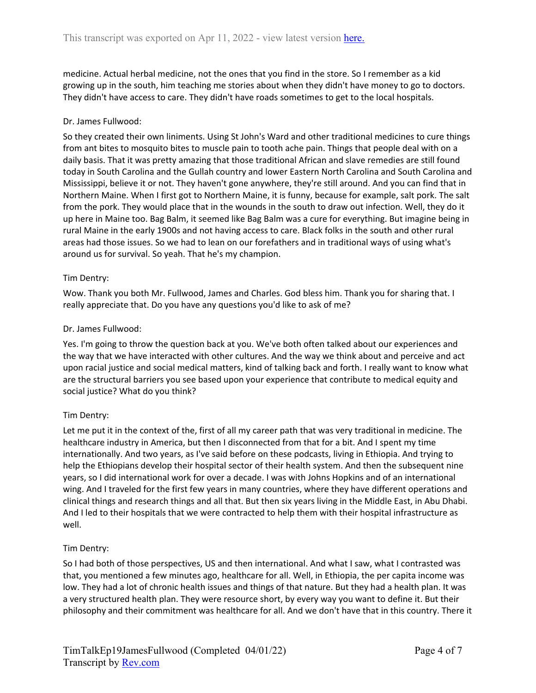medicine. Actual herbal medicine, not the ones that you find in the store. So I remember as a kid growing up in the south, him teaching me stories about when they didn't have money to go to doctors. They didn't have access to care. They didn't have roads sometimes to get to the local hospitals.

# Dr. James Fullwood:

So they created their own liniments. Using St John's Ward and other traditional medicines to cure things from ant bites to mosquito bites to muscle pain to tooth ache pain. Things that people deal with on a daily basis. That it was pretty amazing that those traditional African and slave remedies are still found today in South Carolina and the Gullah country and lower Eastern North Carolina and South Carolina and Mississippi, believe it or not. They haven't gone anywhere, they're still around. And you can find that in Northern Maine. When I first got to Northern Maine, it is funny, because for example, salt pork. The salt from the pork. They would place that in the wounds in the south to draw out infection. Well, they do it up here in Maine too. Bag Balm, it seemed like Bag Balm was a cure for everything. But imagine being in rural Maine in the early 1900s and not having access to care. Black folks in the south and other rural areas had those issues. So we had to lean on our forefathers and in traditional ways of using what's around us for survival. So yeah. That he's my champion.

# Tim Dentry:

Wow. Thank you both Mr. Fullwood, James and Charles. God bless him. Thank you for sharing that. I really appreciate that. Do you have any questions you'd like to ask of me?

### Dr. James Fullwood:

Yes. I'm going to throw the question back at you. We've both often talked about our experiences and the way that we have interacted with other cultures. And the way we think about and perceive and act upon racial justice and social medical matters, kind of talking back and forth. I really want to know what are the structural barriers you see based upon your experience that contribute to medical equity and social justice? What do you think?

# Tim Dentry:

Let me put it in the context of the, first of all my career path that was very traditional in medicine. The healthcare industry in America, but then I disconnected from that for a bit. And I spent my time internationally. And two years, as I've said before on these podcasts, living in Ethiopia. And trying to help the Ethiopians develop their hospital sector of their health system. And then the subsequent nine years, so I did international work for over a decade. I was with Johns Hopkins and of an international wing. And I traveled for the first few years in many countries, where they have different operations and clinical things and research things and all that. But then six years living in the Middle East, in Abu Dhabi. And I led to their hospitals that we were contracted to help them with their hospital infrastructure as well.

### Tim Dentry:

So I had both of those perspectives, US and then international. And what I saw, what I contrasted was that, you mentioned a few minutes ago, healthcare for all. Well, in Ethiopia, the per capita income was low. They had a lot of chronic health issues and things of that nature. But they had a health plan. It was a very structured health plan. They were resource short, by every way you want to define it. But their philosophy and their commitment was healthcare for all. And we don't have that in this country. There it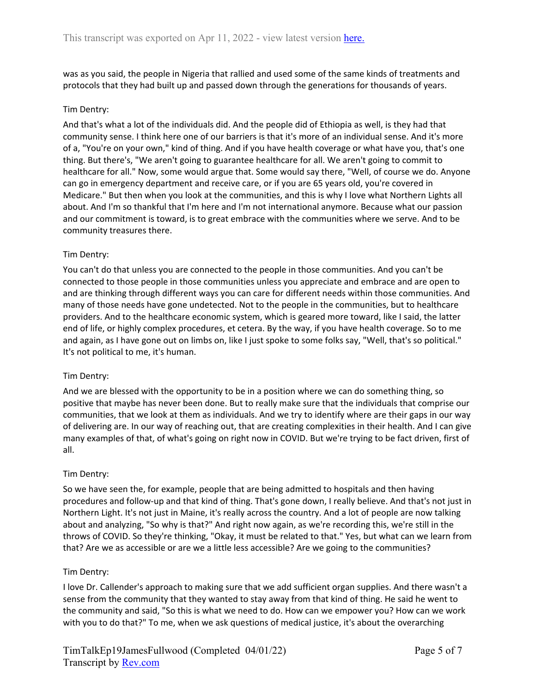was as you said, the people in Nigeria that rallied and used some of the same kinds of treatments and protocols that they had built up and passed down through the generations for thousands of years.

## Tim Dentry:

And that's what a lot of the individuals did. And the people did of Ethiopia as well, is they had that community sense. I think here one of our barriers is that it's more of an individual sense. And it's more of a, "You're on your own," kind of thing. And if you have health coverage or what have you, that's one thing. But there's, "We aren't going to guarantee healthcare for all. We aren't going to commit to healthcare for all." Now, some would argue that. Some would say there, "Well, of course we do. Anyone can go in emergency department and receive care, or if you are 65 years old, you're covered in Medicare." But then when you look at the communities, and this is why I love what Northern Lights all about. And I'm so thankful that I'm here and I'm not international anymore. Because what our passion and our commitment is toward, is to great embrace with the communities where we serve. And to be community treasures there.

### Tim Dentry:

You can't do that unless you are connected to the people in those communities. And you can't be connected to those people in those communities unless you appreciate and embrace and are open to and are thinking through different ways you can care for different needs within those communities. And many of those needs have gone undetected. Not to the people in the communities, but to healthcare providers. And to the healthcare economic system, which is geared more toward, like I said, the latter end of life, or highly complex procedures, et cetera. By the way, if you have health coverage. So to me and again, as I have gone out on limbs on, like I just spoke to some folks say, "Well, that's so political." It's not political to me, it's human.

### Tim Dentry:

And we are blessed with the opportunity to be in a position where we can do something thing, so positive that maybe has never been done. But to really make sure that the individuals that comprise our communities, that we look at them as individuals. And we try to identify where are their gaps in our way of delivering are. In our way of reaching out, that are creating complexities in their health. And I can give many examples of that, of what's going on right now in COVID. But we're trying to be fact driven, first of all.

### Tim Dentry:

So we have seen the, for example, people that are being admitted to hospitals and then having procedures and follow-up and that kind of thing. That's gone down, I really believe. And that's not just in Northern Light. It's not just in Maine, it's really across the country. And a lot of people are now talking about and analyzing, "So why is that?" And right now again, as we're recording this, we're still in the throws of COVID. So they're thinking, "Okay, it must be related to that." Yes, but what can we learn from that? Are we as accessible or are we a little less accessible? Are we going to the communities?

### Tim Dentry:

I love Dr. Callender's approach to making sure that we add sufficient organ supplies. And there wasn't a sense from the community that they wanted to stay away from that kind of thing. He said he went to the community and said, "So this is what we need to do. How can we empower you? How can we work with you to do that?" To me, when we ask questions of medical justice, it's about the overarching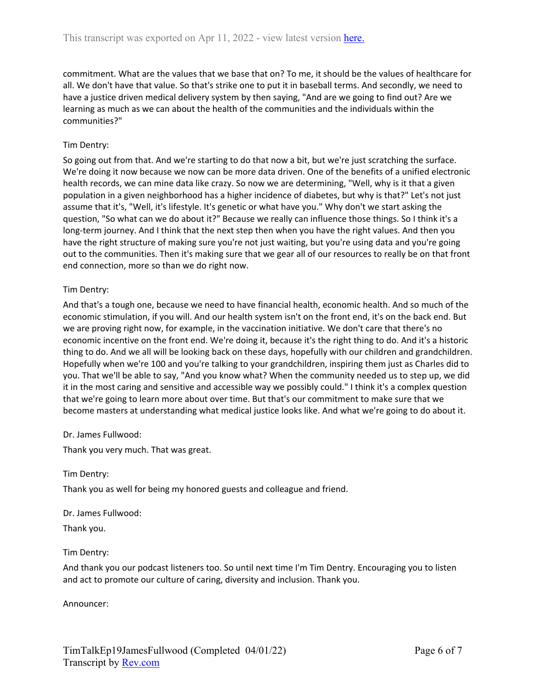commitment. What are the values that we base that on? To me, it should be the values of healthcare for all. We don't have that value. So that's strike one to put it in baseball terms. And secondly, we need to have a justice driven medical delivery system by then saying, "And are we going to find out? Are we learning as much as we can about the health of the communities and the individuals within the communities?"

# Tim Dentry:

So going out from that. And we're starting to do that now a bit, but we're just scratching the surface. We're doing it now because we now can be more data driven. One of the benefits of a unified electronic health records, we can mine data like crazy. So now we are determining, "Well, why is it that a given population in a given neighborhood has a higher incidence of diabetes, but why is that?" Let's not just assume that it's, "Well, it's lifestyle. It's genetic or what have you." Why don't we start asking the question, "So what can we do about it?" Because we really can influence those things. So I think it's a long-term journey. And I think that the next step then when you have the right values. And then you have the right structure of making sure you're not just waiting, but you're using data and you're going out to the communities. Then it's making sure that we gear all of our resources to really be on that front end connection, more so than we do right now.

# Tim Dentry:

And that's a tough one, because we need to have financial health, economic health. And so much of the economic stimulation, if you will. And our health system isn't on the front end, it's on the back end. But we are proving right now, for example, in the vaccination initiative. We don't care that there's no economic incentive on the front end. We're doing it, because it's the right thing to do. And it's a historic thing to do. And we all will be looking back on these days, hopefully with our children and grandchildren. Hopefully when we're 100 and you're talking to your grandchildren, inspiring them just as Charles did to you. That we'll be able to say, "And you know what? When the community needed us to step up, we did it in the most caring and sensitive and accessible way we possibly could." I think it's a complex question that we're going to learn more about over time. But that's our commitment to make sure that we become masters at understanding what medical justice looks like. And what we're going to do about it.

# Dr. James Fullwood:

Thank you very much. That was great.

### Tim Dentry:

Thank you as well for being my honored guests and colleague and friend.

### Dr. James Fullwood:

Thank you.

# Tim Dentry:

And thank you our podcast listeners too. So until next time I'm Tim Dentry. Encouraging you to listen and act to promote our culture of caring, diversity and inclusion. Thank you.

Announcer: